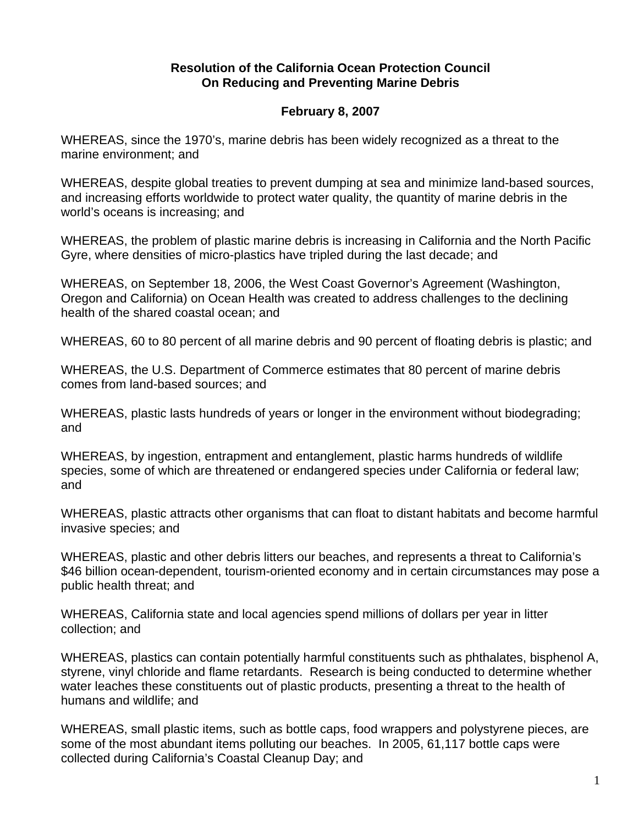## **Resolution of the California Ocean Protection Council On Reducing and Preventing Marine Debris**

## **February 8, 2007**

WHEREAS, since the 1970's, marine debris has been widely recognized as a threat to the marine environment; and

WHEREAS, despite global treaties to prevent dumping at sea and minimize land-based sources, and increasing efforts worldwide to protect water quality, the quantity of marine debris in the world's oceans is increasing; and

WHEREAS, the problem of plastic marine debris is increasing in California and the North Pacific Gyre, where densities of micro-plastics have tripled during the last decade; and

WHEREAS, on September 18, 2006, the West Coast Governor's Agreement (Washington, Oregon and California) on Ocean Health was created to address challenges to the declining health of the shared coastal ocean; and

WHEREAS, 60 to 80 percent of all marine debris and 90 percent of floating debris is plastic; and

WHEREAS, the U.S. Department of Commerce estimates that 80 percent of marine debris comes from land-based sources; and

WHEREAS, plastic lasts hundreds of years or longer in the environment without biodegrading; and

WHEREAS, by ingestion, entrapment and entanglement, plastic harms hundreds of wildlife species, some of which are threatened or endangered species under California or federal law; and

WHEREAS, plastic attracts other organisms that can float to distant habitats and become harmful invasive species; and

WHEREAS, plastic and other debris litters our beaches, and represents a threat to California's \$46 billion ocean-dependent, tourism-oriented economy and in certain circumstances may pose a public health threat; and

WHEREAS, California state and local agencies spend millions of dollars per year in litter collection; and

WHEREAS, plastics can contain potentially harmful constituents such as phthalates, bisphenol A, styrene, vinyl chloride and flame retardants. Research is being conducted to determine whether water leaches these constituents out of plastic products, presenting a threat to the health of humans and wildlife; and

WHEREAS, small plastic items, such as bottle caps, food wrappers and polystyrene pieces, are some of the most abundant items polluting our beaches. In 2005, 61,117 bottle caps were collected during California's Coastal Cleanup Day; and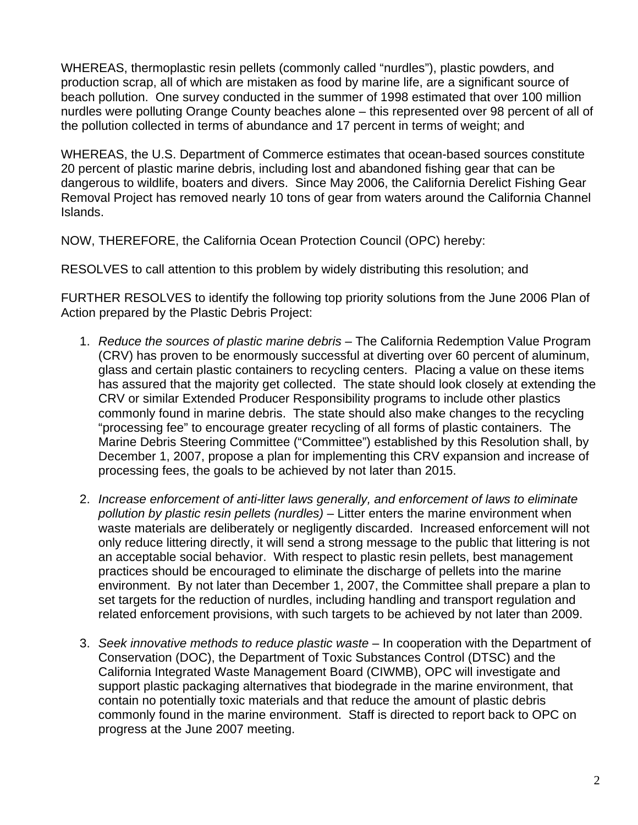WHEREAS, thermoplastic resin pellets (commonly called "nurdles"), plastic powders, and production scrap, all of which are mistaken as food by marine life, are a significant source of beach pollution. One survey conducted in the summer of 1998 estimated that over 100 million nurdles were polluting Orange County beaches alone – this represented over 98 percent of all of the pollution collected in terms of abundance and 17 percent in terms of weight; and

WHEREAS, the U.S. Department of Commerce estimates that ocean-based sources constitute 20 percent of plastic marine debris, including lost and abandoned fishing gear that can be dangerous to wildlife, boaters and divers. Since May 2006, the California Derelict Fishing Gear Removal Project has removed nearly 10 tons of gear from waters around the California Channel Islands.

NOW, THEREFORE, the California Ocean Protection Council (OPC) hereby:

RESOLVES to call attention to this problem by widely distributing this resolution; and

FURTHER RESOLVES to identify the following top priority solutions from the June 2006 Plan of Action prepared by the Plastic Debris Project:

- 1. *Reduce the sources of plastic marine debris*  The California Redemption Value Program (CRV) has proven to be enormously successful at diverting over 60 percent of aluminum, glass and certain plastic containers to recycling centers. Placing a value on these items has assured that the majority get collected. The state should look closely at extending the CRV or similar Extended Producer Responsibility programs to include other plastics commonly found in marine debris. The state should also make changes to the recycling "processing fee" to encourage greater recycling of all forms of plastic containers. The Marine Debris Steering Committee ("Committee") established by this Resolution shall, by December 1, 2007, propose a plan for implementing this CRV expansion and increase of processing fees, the goals to be achieved by not later than 2015.
- 2. *Increase enforcement of anti-litter laws generally, and enforcement of laws to eliminate pollution by plastic resin pellets (nurdles)* – Litter enters the marine environment when waste materials are deliberately or negligently discarded. Increased enforcement will not only reduce littering directly, it will send a strong message to the public that littering is not an acceptable social behavior. With respect to plastic resin pellets, best management practices should be encouraged to eliminate the discharge of pellets into the marine environment. By not later than December 1, 2007, the Committee shall prepare a plan to set targets for the reduction of nurdles, including handling and transport regulation and related enforcement provisions, with such targets to be achieved by not later than 2009.
- 3. *Seek innovative methods to reduce plastic waste* In cooperation with the Department of Conservation (DOC), the Department of Toxic Substances Control (DTSC) and the California Integrated Waste Management Board (CIWMB), OPC will investigate and support plastic packaging alternatives that biodegrade in the marine environment, that contain no potentially toxic materials and that reduce the amount of plastic debris commonly found in the marine environment. Staff is directed to report back to OPC on progress at the June 2007 meeting.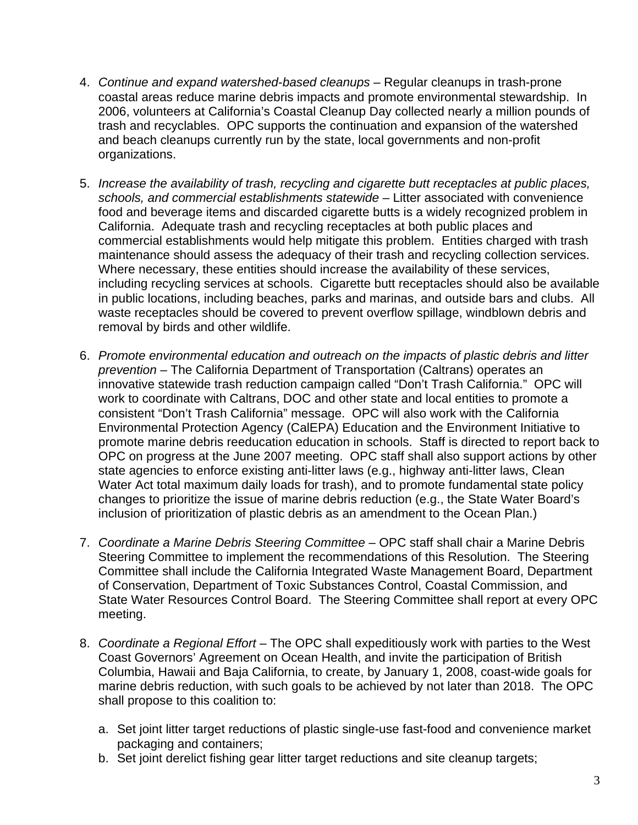- 4. *Continue and expand watershed*-*based cleanups* Regular cleanups in trash-prone coastal areas reduce marine debris impacts and promote environmental stewardship. In 2006, volunteers at California's Coastal Cleanup Day collected nearly a million pounds of trash and recyclables. OPC supports the continuation and expansion of the watershed and beach cleanups currently run by the state, local governments and non-profit organizations.
- 5. *Increase the availability of trash, recycling and cigarette butt receptacles at public places, schools, and commercial establishments statewide* – Litter associated with convenience food and beverage items and discarded cigarette butts is a widely recognized problem in California. Adequate trash and recycling receptacles at both public places and commercial establishments would help mitigate this problem. Entities charged with trash maintenance should assess the adequacy of their trash and recycling collection services. Where necessary, these entities should increase the availability of these services, including recycling services at schools. Cigarette butt receptacles should also be available in public locations, including beaches, parks and marinas, and outside bars and clubs. All waste receptacles should be covered to prevent overflow spillage, windblown debris and removal by birds and other wildlife.
- 6. *Promote environmental education and outreach on the impacts of plastic debris and litter prevention –* The California Department of Transportation (Caltrans) operates an innovative statewide trash reduction campaign called "Don't Trash California." OPC will work to coordinate with Caltrans, DOC and other state and local entities to promote a consistent "Don't Trash California" message. OPC will also work with the California Environmental Protection Agency (CalEPA) Education and the Environment Initiative to promote marine debris reeducation education in schools. Staff is directed to report back to OPC on progress at the June 2007 meeting. OPC staff shall also support actions by other state agencies to enforce existing anti-litter laws (e.g., highway anti-litter laws, Clean Water Act total maximum daily loads for trash), and to promote fundamental state policy changes to prioritize the issue of marine debris reduction (e.g., the State Water Board's inclusion of prioritization of plastic debris as an amendment to the Ocean Plan.)
- 7. *Coordinate a Marine Debris Steering Committee* OPC staff shall chair a Marine Debris Steering Committee to implement the recommendations of this Resolution. The Steering Committee shall include the California Integrated Waste Management Board, Department of Conservation, Department of Toxic Substances Control, Coastal Commission, and State Water Resources Control Board. The Steering Committee shall report at every OPC meeting.
- 8. *Coordinate a Regional Effort* The OPC shall expeditiously work with parties to the West Coast Governors' Agreement on Ocean Health, and invite the participation of British Columbia, Hawaii and Baja California, to create, by January 1, 2008, coast-wide goals for marine debris reduction, with such goals to be achieved by not later than 2018. The OPC shall propose to this coalition to:
	- a. Set joint litter target reductions of plastic single-use fast-food and convenience market packaging and containers;
	- b. Set joint derelict fishing gear litter target reductions and site cleanup targets;